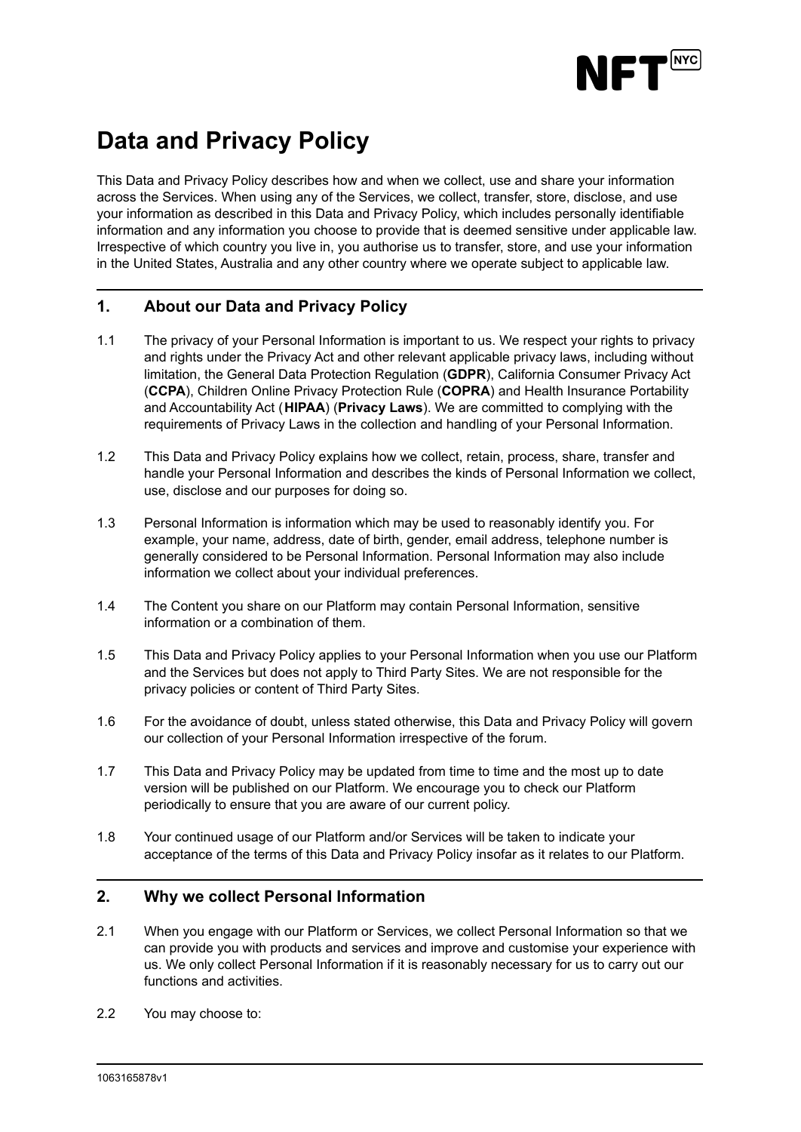

# **Data and Privacy Policy**

This Data and Privacy Policy describes how and when we collect, use and share your information across the Services. When using any of the Services, we collect, transfer, store, disclose, and use your information as described in this Data and Privacy Policy, which includes personally identifiable information and any information you choose to provide that is deemed sensitive under applicable law. Irrespective of which country you live in, you authorise us to transfer, store, and use your information in the United States, Australia and any other country where we operate subject to applicable law.

# **1. About our Data and Privacy Policy**

- 1.1 The privacy of your Personal Information is important to us. We respect your rights to privacy and rights under the Privacy Act and other relevant applicable privacy laws, including without limitation, the General Data Protection Regulation (**GDPR**), California Consumer Privacy Act (**CCPA**), Children Online Privacy Protection Rule (**COPRA**) and Health Insurance Portability and Accountability Act (**HIPAA**) (**Privacy Laws**). We are committed to complying with the requirements of Privacy Laws in the collection and handling of your Personal Information.
- 1.2 This Data and Privacy Policy explains how we collect, retain, process, share, transfer and handle your Personal Information and describes the kinds of Personal Information we collect, use, disclose and our purposes for doing so.
- 1.3 Personal Information is information which may be used to reasonably identify you. For example, your name, address, date of birth, gender, email address, telephone number is generally considered to be Personal Information. Personal Information may also include information we collect about your individual preferences.
- 1.4 The Content you share on our Platform may contain Personal Information, sensitive information or a combination of them.
- 1.5 This Data and Privacy Policy applies to your Personal Information when you use our Platform and the Services but does not apply to Third Party Sites. We are not responsible for the privacy policies or content of Third Party Sites.
- 1.6 For the avoidance of doubt, unless stated otherwise, this Data and Privacy Policy will govern our collection of your Personal Information irrespective of the forum.
- 1.7 This Data and Privacy Policy may be updated from time to time and the most up to date version will be published on our Platform. We encourage you to check our Platform periodically to ensure that you are aware of our current policy.
- 1.8 Your continued usage of our Platform and/or Services will be taken to indicate your acceptance of the terms of this Data and Privacy Policy insofar as it relates to our Platform.

## **2. Why we collect Personal Information**

- 2.1 When you engage with our Platform or Services, we collect Personal Information so that we can provide you with products and services and improve and customise your experience with us. We only collect Personal Information if it is reasonably necessary for us to carry out our functions and activities.
- 2.2 You may choose to: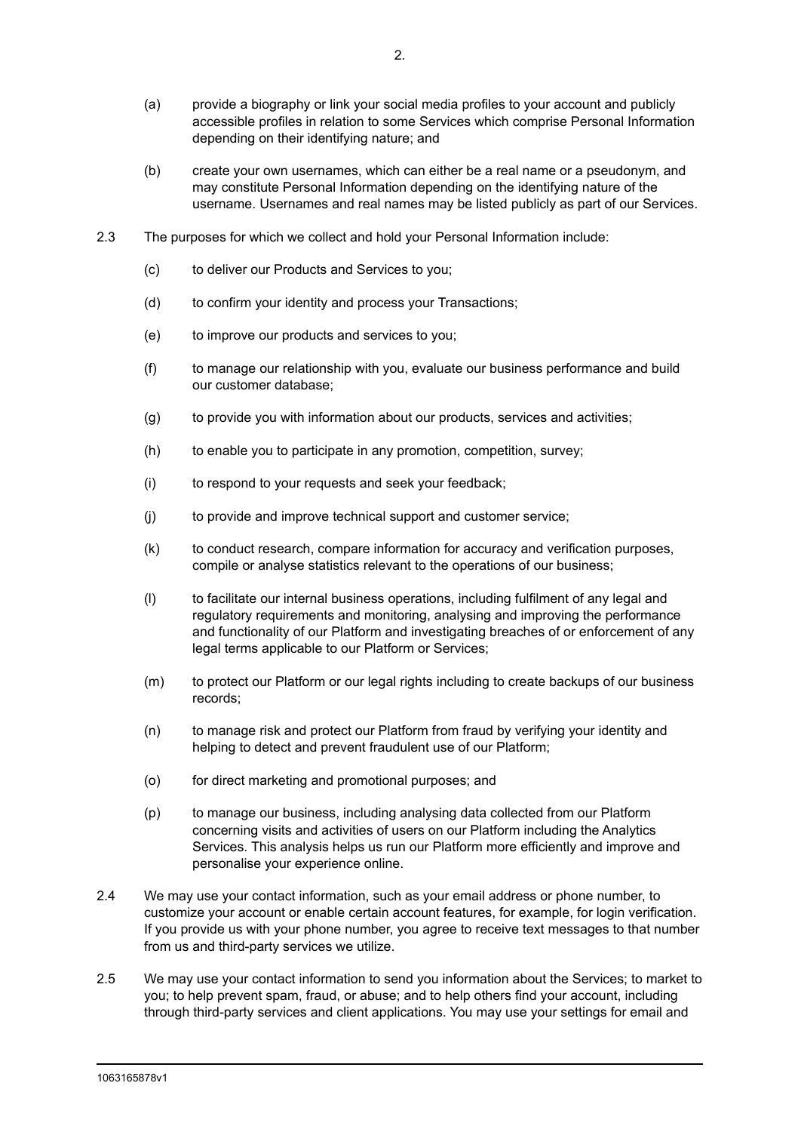- (a) provide a biography or link your social media profiles to your account and publicly accessible profiles in relation to some Services which comprise Personal Information depending on their identifying nature; and
- (b) create your own usernames, which can either be a real name or a pseudonym, and may constitute Personal Information depending on the identifying nature of the username. Usernames and real names may be listed publicly as part of our Services.
- 2.3 The purposes for which we collect and hold your Personal Information include:
	- (c) to deliver our Products and Services to you;
	- (d) to confirm your identity and process your Transactions;
	- (e) to improve our products and services to you;
	- (f) to manage our relationship with you, evaluate our business performance and build our customer database;
	- (g) to provide you with information about our products, services and activities;
	- (h) to enable you to participate in any promotion, competition, survey;
	- (i) to respond to your requests and seek your feedback;
	- (j) to provide and improve technical support and customer service;
	- (k) to conduct research, compare information for accuracy and verification purposes, compile or analyse statistics relevant to the operations of our business;
	- (l) to facilitate our internal business operations, including fulfilment of any legal and regulatory requirements and monitoring, analysing and improving the performance and functionality of our Platform and investigating breaches of or enforcement of any legal terms applicable to our Platform or Services;
	- (m) to protect our Platform or our legal rights including to create backups of our business records;
	- (n) to manage risk and protect our Platform from fraud by verifying your identity and helping to detect and prevent fraudulent use of our Platform;
	- (o) for direct marketing and promotional purposes; and
	- (p) to manage our business, including analysing data collected from our Platform concerning visits and activities of users on our Platform including the Analytics Services. This analysis helps us run our Platform more efficiently and improve and personalise your experience online.
- 2.4 We may use your contact information, such as your email address or phone number, to customize your account or enable certain account features, for example, for login verification. If you provide us with your phone number, you agree to receive text messages to that number from us and third-party services we utilize.
- 2.5 We may use your contact information to send you information about the Services; to market to you; to help prevent spam, fraud, or abuse; and to help others find your account, including through third-party services and client applications. You may use your settings for email and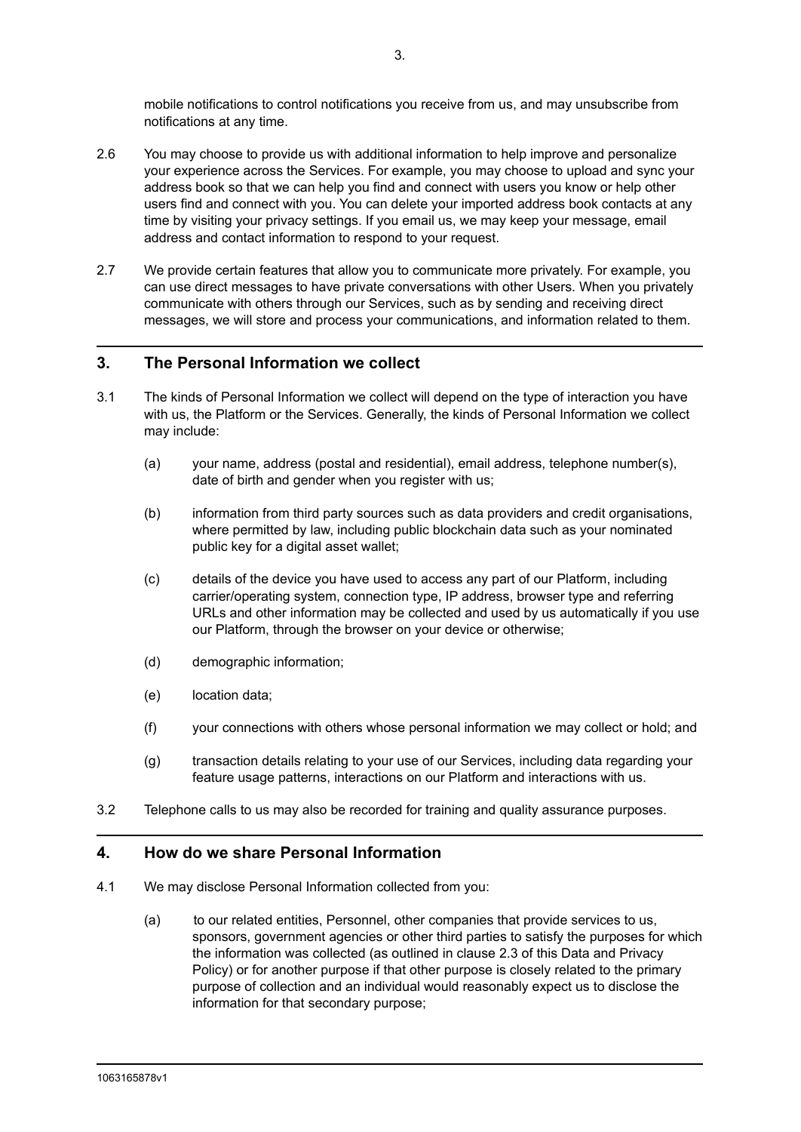mobile notifications to control notifications you receive from us, and may unsubscribe from notifications at any time.

- 2.6 You may choose to provide us with additional information to help improve and personalize your experience across the Services. For example, you may choose to upload and sync your address book so that we can help you find and connect with users you know or help other users find and connect with you. You can delete your imported address book contacts at any time by visiting your privacy settings. If you email us, we may keep your message, email address and contact information to respond to your request.
- 2.7 We provide certain features that allow you to communicate more privately. For example, you can use direct messages to have private conversations with other Users. When you privately communicate with others through our Services, such as by sending and receiving direct messages, we will store and process your communications, and information related to them.

# **3. The Personal Information we collect**

- 3.1 The kinds of Personal Information we collect will depend on the type of interaction you have with us, the Platform or the Services. Generally, the kinds of Personal Information we collect may include:
	- (a) your name, address (postal and residential), email address, telephone number(s), date of birth and gender when you register with us;
	- (b) information from third party sources such as data providers and credit organisations, where permitted by law, including public blockchain data such as your nominated public key for a digital asset wallet;
	- (c) details of the device you have used to access any part of our Platform, including carrier/operating system, connection type, IP address, browser type and referring URLs and other information may be collected and used by us automatically if you use our Platform, through the browser on your device or otherwise;
	- (d) demographic information;
	- (e) location data;
	- (f) your connections with others whose personal information we may collect or hold; and
	- (g) transaction details relating to your use of our Services, including data regarding your feature usage patterns, interactions on our Platform and interactions with us.
- 3.2 Telephone calls to us may also be recorded for training and quality assurance purposes.

# **4. How do we share Personal Information**

- 4.1 We may disclose Personal Information collected from you:
	- (a) to our related entities, Personnel, other companies that provide services to us, sponsors, government agencies or other third parties to satisfy the purposes for which the information was collected (as outlined in clause 2.3 of this Data and Privacy Policy) or for another purpose if that other purpose is closely related to the primary purpose of collection and an individual would reasonably expect us to disclose the information for that secondary purpose;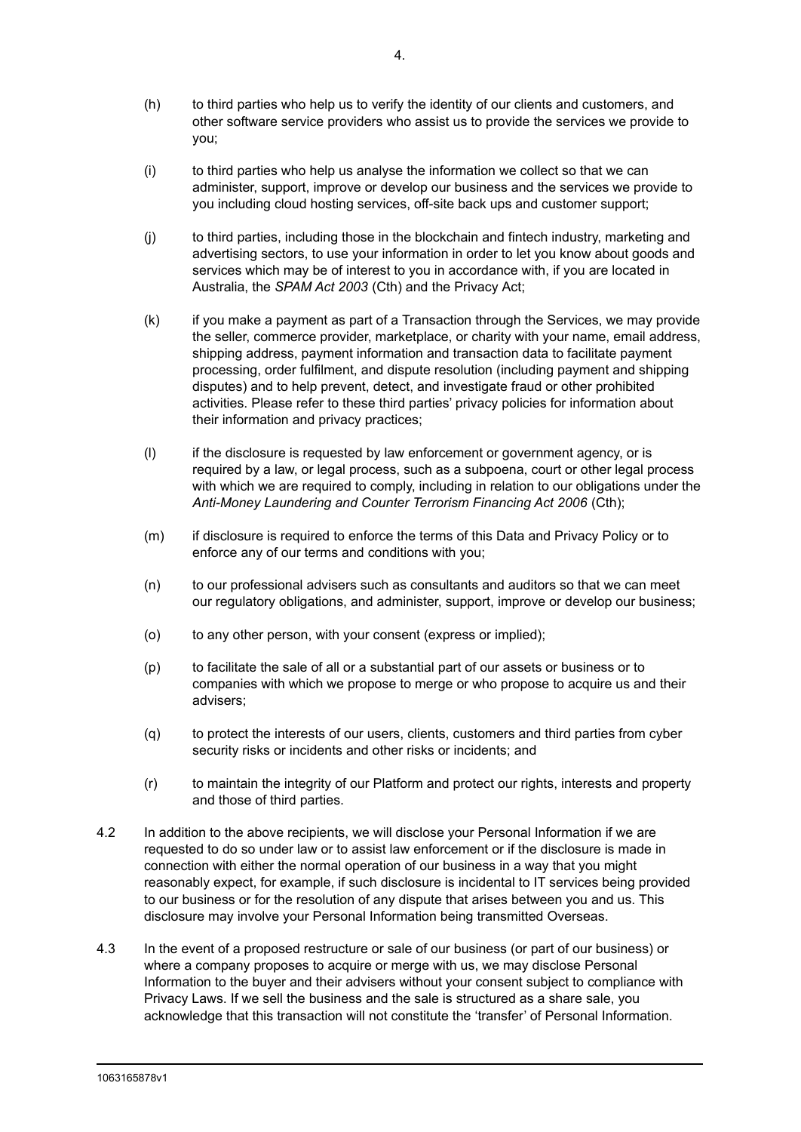- (h) to third parties who help us to verify the identity of our clients and customers, and other software service providers who assist us to provide the services we provide to you;
- (i) to third parties who help us analyse the information we collect so that we can administer, support, improve or develop our business and the services we provide to you including cloud hosting services, off-site back ups and customer support;
- (j) to third parties, including those in the blockchain and fintech industry, marketing and advertising sectors, to use your information in order to let you know about goods and services which may be of interest to you in accordance with, if you are located in Australia, the *SPAM Act 2003* (Cth) and the Privacy Act;
- (k) if you make a payment as part of a Transaction through the Services, we may provide the seller, commerce provider, marketplace, or charity with your name, email address, shipping address, payment information and transaction data to facilitate payment processing, order fulfilment, and dispute resolution (including payment and shipping disputes) and to help prevent, detect, and investigate fraud or other prohibited activities. Please refer to these third parties' privacy policies for information about their information and privacy practices;
- (l) if the disclosure is requested by law enforcement or government agency, or is required by a law, or legal process, such as a subpoena, court or other legal process with which we are required to comply, including in relation to our obligations under the *Anti-Money Laundering and Counter Terrorism Financing Act 2006* (Cth);
- (m) if disclosure is required to enforce the terms of this Data and Privacy Policy or to enforce any of our terms and conditions with you;
- (n) to our professional advisers such as consultants and auditors so that we can meet our regulatory obligations, and administer, support, improve or develop our business;
- (o) to any other person, with your consent (express or implied);
- (p) to facilitate the sale of all or a substantial part of our assets or business or to companies with which we propose to merge or who propose to acquire us and their advisers;
- (q) to protect the interests of our users, clients, customers and third parties from cyber security risks or incidents and other risks or incidents; and
- (r) to maintain the integrity of our Platform and protect our rights, interests and property and those of third parties.
- 4.2 In addition to the above recipients, we will disclose your Personal Information if we are requested to do so under law or to assist law enforcement or if the disclosure is made in connection with either the normal operation of our business in a way that you might reasonably expect, for example, if such disclosure is incidental to IT services being provided to our business or for the resolution of any dispute that arises between you and us. This disclosure may involve your Personal Information being transmitted Overseas.
- 4.3 In the event of a proposed restructure or sale of our business (or part of our business) or where a company proposes to acquire or merge with us, we may disclose Personal Information to the buyer and their advisers without your consent subject to compliance with Privacy Laws. If we sell the business and the sale is structured as a share sale, you acknowledge that this transaction will not constitute the 'transfer' of Personal Information.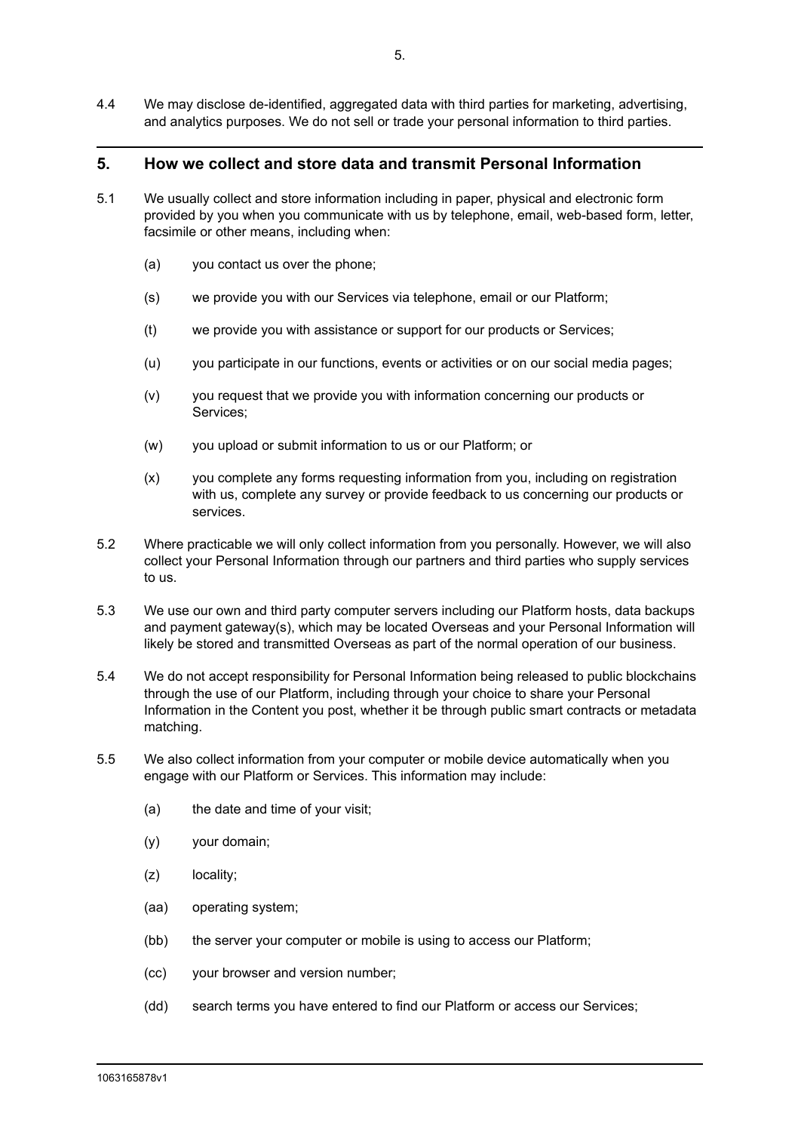4.4 We may disclose de-identified, aggregated data with third parties for marketing, advertising, and analytics purposes. We do not sell or trade your personal information to third parties.

#### **5. How we collect and store data and transmit Personal Information**

- 5.1 We usually collect and store information including in paper, physical and electronic form provided by you when you communicate with us by telephone, email, web-based form, letter, facsimile or other means, including when:
	- (a) you contact us over the phone;
	- (s) we provide you with our Services via telephone, email or our Platform;
	- (t) we provide you with assistance or support for our products or Services;
	- (u) you participate in our functions, events or activities or on our social media pages;
	- (v) you request that we provide you with information concerning our products or Services;
	- (w) you upload or submit information to us or our Platform; or
	- (x) you complete any forms requesting information from you, including on registration with us, complete any survey or provide feedback to us concerning our products or services.
- 5.2 Where practicable we will only collect information from you personally. However, we will also collect your Personal Information through our partners and third parties who supply services to us.
- 5.3 We use our own and third party computer servers including our Platform hosts, data backups and payment gateway(s), which may be located Overseas and your Personal Information will likely be stored and transmitted Overseas as part of the normal operation of our business.
- 5.4 We do not accept responsibility for Personal Information being released to public blockchains through the use of our Platform, including through your choice to share your Personal Information in the Content you post, whether it be through public smart contracts or metadata matching.
- 5.5 We also collect information from your computer or mobile device automatically when you engage with our Platform or Services. This information may include:
	- (a) the date and time of your visit;
	- (y) your domain;
	- (z) locality;
	- (aa) operating system;
	- (bb) the server your computer or mobile is using to access our Platform;
	- (cc) your browser and version number;
	- (dd) search terms you have entered to find our Platform or access our Services;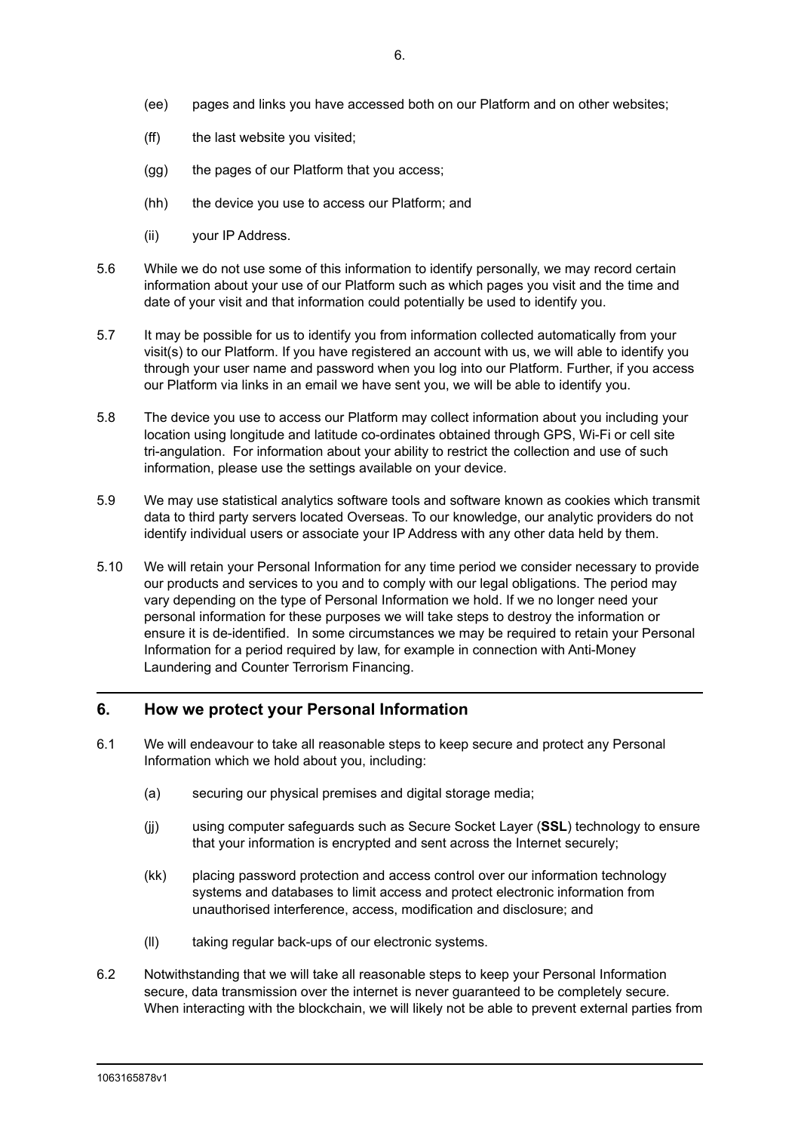- (ee) pages and links you have accessed both on our Platform and on other websites;
- (ff) the last website you visited;
- (gg) the pages of our Platform that you access;
- (hh) the device you use to access our Platform; and
- (ii) your IP Address.
- 5.6 While we do not use some of this information to identify personally, we may record certain information about your use of our Platform such as which pages you visit and the time and date of your visit and that information could potentially be used to identify you.
- 5.7 It may be possible for us to identify you from information collected automatically from your visit(s) to our Platform. If you have registered an account with us, we will able to identify you through your user name and password when you log into our Platform. Further, if you access our Platform via links in an email we have sent you, we will be able to identify you.
- 5.8 The device you use to access our Platform may collect information about you including your location using longitude and latitude co-ordinates obtained through GPS, Wi-Fi or cell site tri-angulation. For information about your ability to restrict the collection and use of such information, please use the settings available on your device.
- 5.9 We may use statistical analytics software tools and software known as cookies which transmit data to third party servers located Overseas. To our knowledge, our analytic providers do not identify individual users or associate your IP Address with any other data held by them.
- 5.10 We will retain your Personal Information for any time period we consider necessary to provide our products and services to you and to comply with our legal obligations. The period may vary depending on the type of Personal Information we hold. If we no longer need your personal information for these purposes we will take steps to destroy the information or ensure it is de-identified. In some circumstances we may be required to retain your Personal Information for a period required by law, for example in connection with Anti-Money Laundering and Counter Terrorism Financing.

#### **6. How we protect your Personal Information**

- 6.1 We will endeavour to take all reasonable steps to keep secure and protect any Personal Information which we hold about you, including:
	- (a) securing our physical premises and digital storage media;
	- (jj) using computer safeguards such as Secure Socket Layer (**SSL**) technology to ensure that your information is encrypted and sent across the Internet securely;
	- (kk) placing password protection and access control over our information technology systems and databases to limit access and protect electronic information from unauthorised interference, access, modification and disclosure; and
	- (ll) taking regular back-ups of our electronic systems.
- 6.2 Notwithstanding that we will take all reasonable steps to keep your Personal Information secure, data transmission over the internet is never guaranteed to be completely secure. When interacting with the blockchain, we will likely not be able to prevent external parties from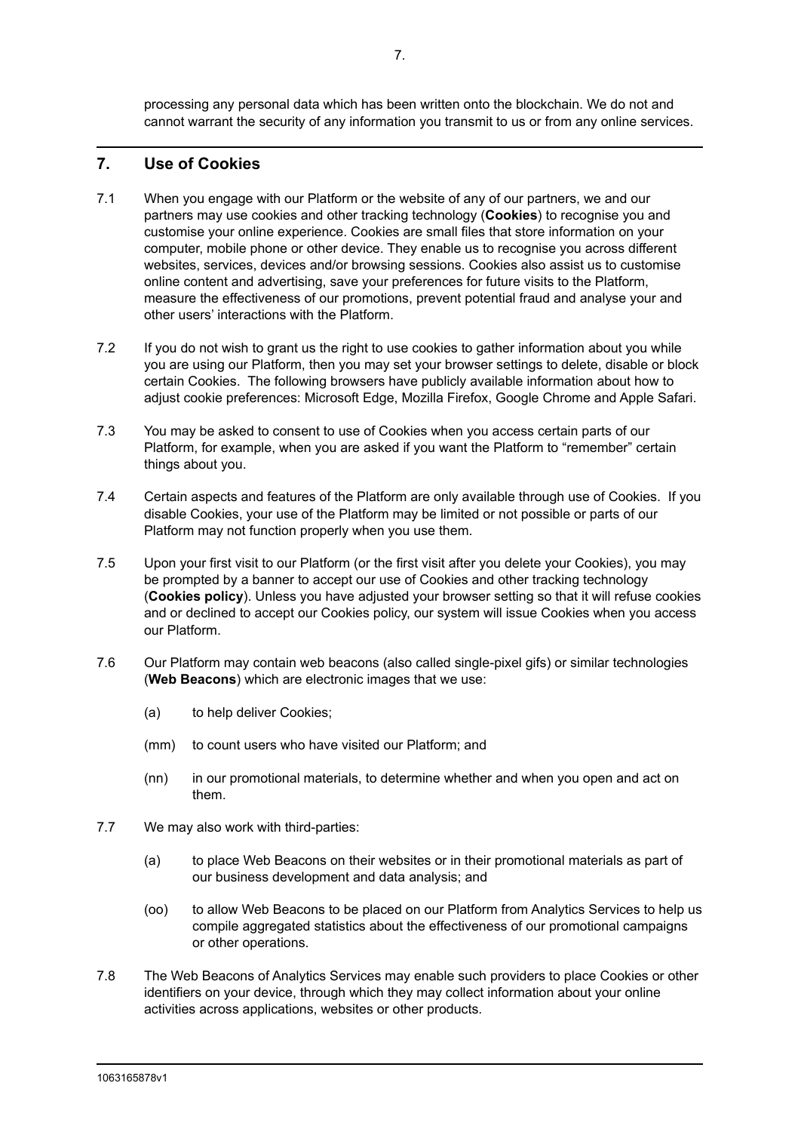processing any personal data which has been written onto the blockchain. We do not and cannot warrant the security of any information you transmit to us or from any online services.

# **7. Use of Cookies**

- 7.1 When you engage with our Platform or the website of any of our partners, we and our partners may use cookies and other tracking technology (**Cookies**) to recognise you and customise your online experience. Cookies are small files that store information on your computer, mobile phone or other device. They enable us to recognise you across different websites, services, devices and/or browsing sessions. Cookies also assist us to customise online content and advertising, save your preferences for future visits to the Platform, measure the effectiveness of our promotions, prevent potential fraud and analyse your and other users' interactions with the Platform.
- 7.2 If you do not wish to grant us the right to use cookies to gather information about you while you are using our Platform, then you may set your browser settings to delete, disable or block certain Cookies. The following browsers have publicly available information about how to adjust cookie preferences: Microsoft Edge, Mozilla Firefox, Google Chrome and Apple Safari.
- 7.3 You may be asked to consent to use of Cookies when you access certain parts of our Platform, for example, when you are asked if you want the Platform to "remember" certain things about you.
- 7.4 Certain aspects and features of the Platform are only available through use of Cookies. If you disable Cookies, your use of the Platform may be limited or not possible or parts of our Platform may not function properly when you use them.
- 7.5 Upon your first visit to our Platform (or the first visit after you delete your Cookies), you may be prompted by a banner to accept our use of Cookies and other tracking technology (**Cookies policy**). Unless you have adjusted your browser setting so that it will refuse cookies and or declined to accept our Cookies policy, our system will issue Cookies when you access our Platform.
- 7.6 Our Platform may contain web beacons (also called single-pixel gifs) or similar technologies (**Web Beacons**) which are electronic images that we use:
	- (a) to help deliver Cookies;
	- (mm) to count users who have visited our Platform; and
	- (nn) in our promotional materials, to determine whether and when you open and act on them.
- 7.7 We may also work with third-parties:
	- (a) to place Web Beacons on their websites or in their promotional materials as part of our business development and data analysis; and
	- (oo) to allow Web Beacons to be placed on our Platform from Analytics Services to help us compile aggregated statistics about the effectiveness of our promotional campaigns or other operations.
- 7.8 The Web Beacons of Analytics Services may enable such providers to place Cookies or other identifiers on your device, through which they may collect information about your online activities across applications, websites or other products.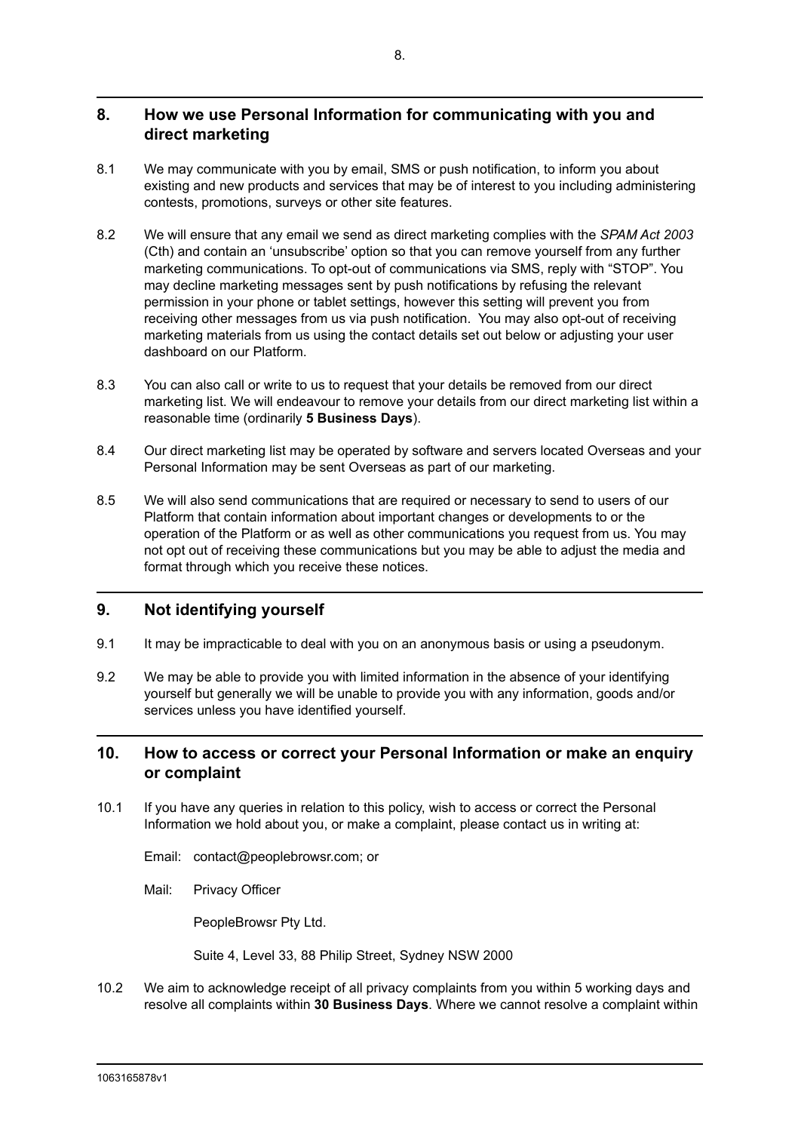# **8. How we use Personal Information for communicating with you and direct marketing**

- 8.1 We may communicate with you by email, SMS or push notification, to inform you about existing and new products and services that may be of interest to you including administering contests, promotions, surveys or other site features.
- 8.2 We will ensure that any email we send as direct marketing complies with the *SPAM Act 2003* (Cth) and contain an 'unsubscribe' option so that you can remove yourself from any further marketing communications. To opt-out of communications via SMS, reply with "STOP". You may decline marketing messages sent by push notifications by refusing the relevant permission in your phone or tablet settings, however this setting will prevent you from receiving other messages from us via push notification. You may also opt-out of receiving marketing materials from us using the contact details set out below or adjusting your user dashboard on our Platform.
- 8.3 You can also call or write to us to request that your details be removed from our direct marketing list. We will endeavour to remove your details from our direct marketing list within a reasonable time (ordinarily **5 Business Days**).
- 8.4 Our direct marketing list may be operated by software and servers located Overseas and your Personal Information may be sent Overseas as part of our marketing.
- 8.5 We will also send communications that are required or necessary to send to users of our Platform that contain information about important changes or developments to or the operation of the Platform or as well as other communications you request from us. You may not opt out of receiving these communications but you may be able to adjust the media and format through which you receive these notices.

## **9. Not identifying yourself**

- 9.1 It may be impracticable to deal with you on an anonymous basis or using a pseudonym.
- 9.2 We may be able to provide you with limited information in the absence of your identifying yourself but generally we will be unable to provide you with any information, goods and/or services unless you have identified yourself.

# **10. How to access or correct your Personal Information or make an enquiry or complaint**

- 10.1 If you have any queries in relation to this policy, wish to access or correct the Personal Information we hold about you, or make a complaint, please contact us in writing at:
	- Email: contact@peoplebrowsr.com; or
	- Mail: Privacy Officer

PeopleBrowsr Pty Ltd.

Suite 4, Level 33, 88 Philip Street, Sydney NSW 2000

10.2 We aim to acknowledge receipt of all privacy complaints from you within 5 working days and resolve all complaints within **30 Business Days**. Where we cannot resolve a complaint within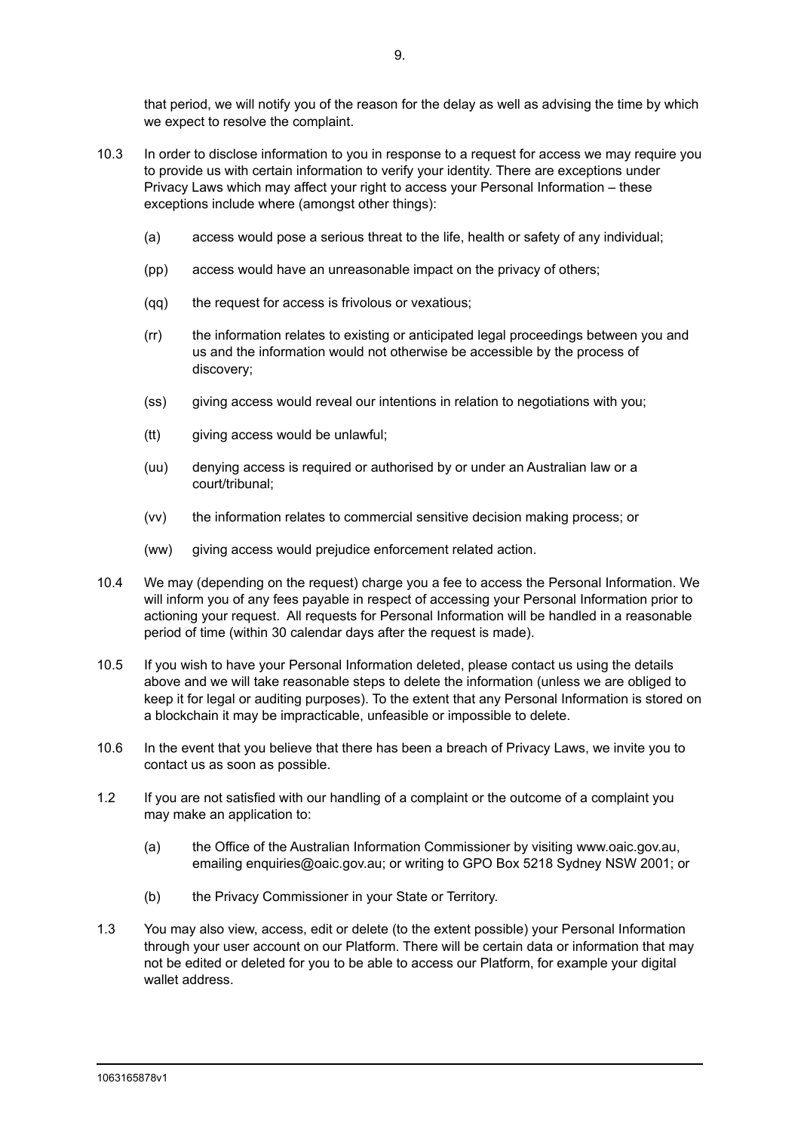that period, we will notify you of the reason for the delay as well as advising the time by which we expect to resolve the complaint.

- 10.3 In order to disclose information to you in response to a request for access we may require you to provide us with certain information to verify your identity. There are exceptions under Privacy Laws which may affect your right to access your Personal Information – these exceptions include where (amongst other things):
	- (a) access would pose a serious threat to the life, health or safety of any individual;
	- (pp) access would have an unreasonable impact on the privacy of others;
	- (qq) the request for access is frivolous or vexatious;
	- (rr) the information relates to existing or anticipated legal proceedings between you and us and the information would not otherwise be accessible by the process of discovery;
	- (ss) giving access would reveal our intentions in relation to negotiations with you;
	- (tt) giving access would be unlawful;
	- (uu) denying access is required or authorised by or under an Australian law or a court/tribunal;
	- (vv) the information relates to commercial sensitive decision making process; or
	- (ww) giving access would prejudice enforcement related action.
- 10.4 We may (depending on the request) charge you a fee to access the Personal Information. We will inform you of any fees payable in respect of accessing your Personal Information prior to actioning your request. All requests for Personal Information will be handled in a reasonable period of time (within 30 calendar days after the request is made).
- 10.5 If you wish to have your Personal Information deleted, please contact us using the details above and we will take reasonable steps to delete the information (unless we are obliged to keep it for legal or auditing purposes). To the extent that any Personal Information is stored on a blockchain it may be impracticable, unfeasible or impossible to delete.
- 10.6 In the event that you believe that there has been a breach of Privacy Laws, we invite you to contact us as soon as possible.
- 1.2 If you are not satisfied with our handling of a complaint or the outcome of a complaint you may make an application to:
	- (a) the Office of the Australian Information Commissioner by visiting www.oaic.gov.au, emailing enquiries@oaic.gov.au; or writing to GPO Box 5218 Sydney NSW 2001; or
	- (b) the Privacy Commissioner in your State or Territory.
- 1.3 You may also view, access, edit or delete (to the extent possible) your Personal Information through your user account on our Platform. There will be certain data or information that may not be edited or deleted for you to be able to access our Platform, for example your digital wallet address.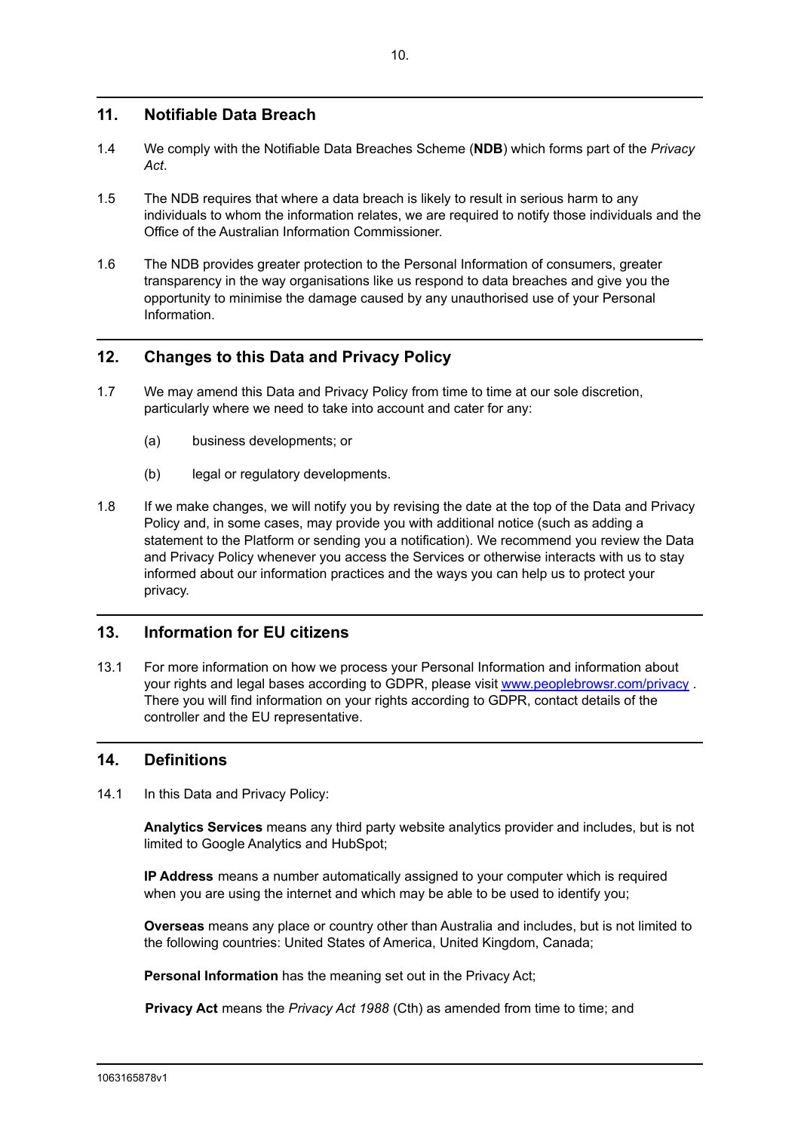# **11. Notifiable Data Breach**

- 1.4 We comply with the Notifiable Data Breaches Scheme (**NDB**) which forms part of the *Privacy Act*.
- 1.5 The NDB requires that where a data breach is likely to result in serious harm to any individuals to whom the information relates, we are required to notify those individuals and the Office of the Australian Information Commissioner.
- 1.6 The NDB provides greater protection to the Personal Information of consumers, greater transparency in the way organisations like us respond to data breaches and give you the opportunity to minimise the damage caused by any unauthorised use of your Personal Information.

# **12. Changes to this Data and Privacy Policy**

- 1.7 We may amend this Data and Privacy Policy from time to time at our sole discretion, particularly where we need to take into account and cater for any:
	- (a) business developments; or
	- (b) legal or regulatory developments.
- 1.8 If we make changes, we will notify you by revising the date at the top of the Data and Privacy Policy and, in some cases, may provide you with additional notice (such as adding a statement to the Platform or sending you a notification). We recommend you review the Data and Privacy Policy whenever you access the Services or otherwise interacts with us to stay informed about our information practices and the ways you can help us to protect your privacy.

## **13. Information for EU citizens**

13.1 For more information on how we process your Personal Information and information about your rights and legal bases according to GDPR, please visit [www.peoplebrowsr.com/privacy](http://www.peoplebrowsr.com/privacy). There you will find information on your rights according to GDPR, contact details of the controller and the EU representative.

## **14. Definitions**

14.1 In this Data and Privacy Policy:

**Analytics Services** means any third party website analytics provider and includes, but is not limited to Google Analytics and HubSpot;

**IP Address** means a number automatically assigned to your computer which is required when you are using the internet and which may be able to be used to identify you;

**Overseas** means any place or country other than Australia and includes, but is not limited to the following countries: United States of America, United Kingdom, Canada;

**Personal Information** has the meaning set out in the Privacy Act;

**Privacy Act** means the *Privacy Act 1988* (Cth) as amended from time to time; and